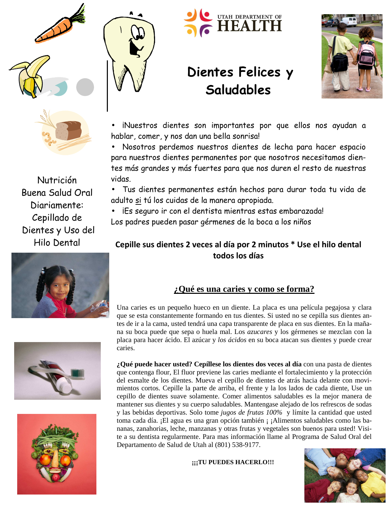



Nutrición Buena Salud Oral Diariamente: Cepillado de Dientes y Uso del Hilo Dental









# **Dientes Felices y Saludables**



iNuestros dientes son importantes por que ellos nos ayudan a hablar, comer, y nos dan una bella sonrisa!

• Nosotros perdemos nuestros dientes de lecha para hacer espacio para nuestros dientes permanentes por que nosotros necesitamos dientes más grandes y más fuertes para que nos duren el resto de nuestras vidas.

• Tus dientes permanentes están hechos para durar toda tu vida de adulto si tú los cuidas de la manera apropiada.

• iEs seguro ir con el dentista mientras estas embarazada! Los padres pueden pasar gérmenes de la boca a los niños

## **Cepille sus dientes 2 veces al día por 2 minutos \* Use el hilo dental todos los días**

### **¿Qué es una caries y como se forma?**

Una caries es un pequeño hueco en un diente. La placa es una película pegajosa y clara que se esta constantemente formando en tus dientes. Si usted no se cepilla sus dientes antes de ir a la cama, usted tendrá una capa transparente de placa en sus dientes. En la mañana su boca puede que sepa o huela mal. Los *azucares* y los gérmenes se mezclan con la placa para hacer ácido. El azúcar y *los ácidos* en su boca atacan sus dientes y puede crear caries.

**¿Qué puede hacer usted? Cepíllese los dientes dos veces al día** con una pasta de dientes que contenga flour, El fluor previene las caries mediante el fortalecimiento y la protección del esmalte de los dientes. Mueva el cepillo de dientes de atrás hacia delante con movimientos cortos. Cepille la parte de arriba, el frente y la los lados de cada diente, Use un cepillo de dientes suave solamente. Comer alimentos saludables es la mejor manera de mantener sus dientes y su cuerpo saludables. Mantengase alejado de los refrescos de sodas y las bebidas deportivas. Solo tome *jugos de frutas 100%* y límite la cantidad que usted toma cada día. ¡El agua es una gran opción también ¡ ¡Alimentos saludables como las bananas, zanahorias, leche, manzanas y otras frutas y vegetales son buenos para usted! Visite a su dentista regularmente. Para mas información llame al Programa de Salud Oral del Departamento de Salud de Utah al (801) 538-9177.

**IIITU PUEDES HACERLO!!!**